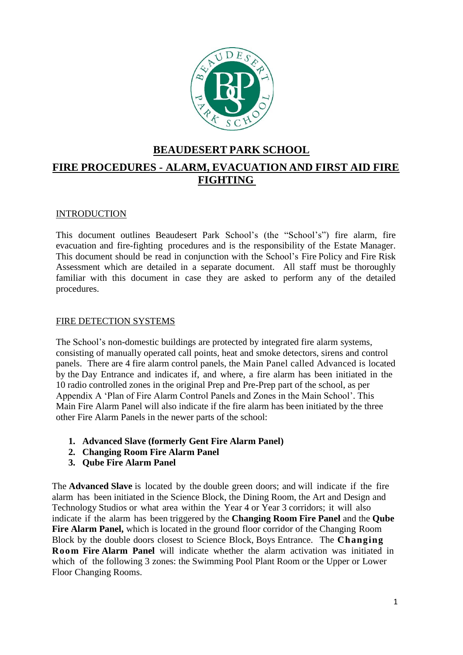

# **BEAUDESERT PARK SCHOOL**

# **FIRE PROCEDURES - ALARM, EVACUATION AND FIRST AID FIRE FIGHTING**

### **INTRODUCTION**

This document outlines Beaudesert Park School's (the "School's") fire alarm, fire evacuation and fire-fighting procedures and is the responsibility of the Estate Manager. This document should be read in conjunction with the School's Fire Policy and Fire Risk Assessment which are detailed in a separate document. All staff must be thoroughly familiar with this document in case they are asked to perform any of the detailed procedures.

#### FIRE DETECTION SYSTEMS

The School's non-domestic buildings are protected by integrated fire alarm systems, consisting of manually operated call points, heat and smoke detectors, sirens and control panels. There are 4 fire alarm control panels, the Main Panel called Advanced is located by the Day Entrance and indicates if, and where, a fire alarm has been initiated in the 10 radio controlled zones in the original Prep and Pre-Prep part of the school, as per Appendix A 'Plan of Fire Alarm Control Panels and Zones in the Main School'. This Main Fire Alarm Panel will also indicate if the fire alarm has been initiated by the three other Fire Alarm Panels in the newer parts of the school:

- **1. Advanced Slave (formerly Gent Fire Alarm Panel)**
- **2. Changing Room Fire Alarm Panel**
- **3. Qube Fire Alarm Panel**

The **Advanced Slave** is located by the double green doors; and will indicate if the fire alarm has been initiated in the Science Block, the Dining Room, the Art and Design and Technology Studios or what area within the Year 4 or Year 3 corridors; it will also indicate if the alarm has been triggered by the **Changing Room Fire Panel** and the **Qube Fire Alarm Panel,** which is located in the ground floor corridor of the Changing Room Block by the double doors closest to Science Block, Boys Entrance. The **Changing Room Fire Alarm Panel** will indicate whether the alarm activation was initiated in which of the following 3 zones: the Swimming Pool Plant Room or the Upper or Lower Floor Changing Rooms.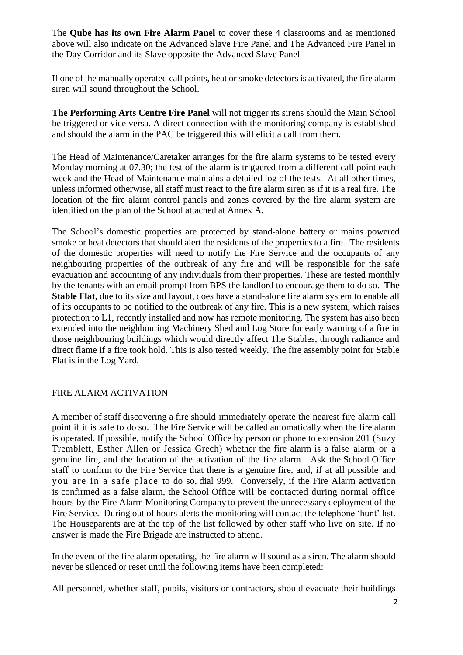The **Qube has its own Fire Alarm Panel** to cover these 4 classrooms and as mentioned above will also indicate on the Advanced Slave Fire Panel and The Advanced Fire Panel in the Day Corridor and its Slave opposite the Advanced Slave Panel

If one of the manually operated call points, heat or smoke detectors is activated, the fire alarm siren will sound throughout the School.

**The Performing Arts Centre Fire Panel** will not trigger its sirens should the Main School be triggered or vice versa. A direct connection with the monitoring company is established and should the alarm in the PAC be triggered this will elicit a call from them.

The Head of Maintenance/Caretaker arranges for the fire alarm systems to be tested every Monday morning at 07.30; the test of the alarm is triggered from a different call point each week and the Head of Maintenance maintains a detailed log of the tests. At all other times, unless informed otherwise, all staff must react to the fire alarm siren as if it is a real fire. The location of the fire alarm control panels and zones covered by the fire alarm system are identified on the plan of the School attached at Annex A.

The School's domestic properties are protected by stand-alone battery or mains powered smoke or heat detectors that should alert the residents of the properties to a fire. The residents of the domestic properties will need to notify the Fire Service and the occupants of any neighbouring properties of the outbreak of any fire and will be responsible for the safe evacuation and accounting of any individuals from their properties. These are tested monthly by the tenants with an email prompt from BPS the landlord to encourage them to do so. **The Stable Flat**, due to its size and layout, does have a stand-alone fire alarm system to enable all of its occupants to be notified to the outbreak of any fire. This is a new system, which raises protection to L1, recently installed and now has remote monitoring. The system has also been extended into the neighbouring Machinery Shed and Log Store for early warning of a fire in those neighbouring buildings which would directly affect The Stables, through radiance and direct flame if a fire took hold. This is also tested weekly. The fire assembly point for Stable Flat is in the Log Yard.

#### FIRE ALARM ACTIVATION

A member of staff discovering a fire should immediately operate the nearest fire alarm call point if it is safe to do so. The Fire Service will be called automatically when the fire alarm is operated. If possible, notify the School Office by person or phone to extension 201 (Suzy Tremblett, Esther Allen or Jessica Grech) whether the fire alarm is a false alarm or a genuine fire, and the location of the activation of the fire alarm. Ask the School Office staff to confirm to the Fire Service that there is a genuine fire, and, if at all possible and you are in a safe place to do so, dial 999. Conversely, if the Fire Alarm activation is confirmed as a false alarm, the School Office will be contacted during normal office hours by the Fire Alarm Monitoring Company to prevent the unnecessary deployment of the Fire Service. During out of hours alerts the monitoring will contact the telephone 'hunt' list. The Houseparents are at the top of the list followed by other staff who live on site. If no answer is made the Fire Brigade are instructed to attend.

In the event of the fire alarm operating, the fire alarm will sound as a siren. The alarm should never be silenced or reset until the following items have been completed:

All personnel, whether staff, pupils, visitors or contractors, should evacuate their buildings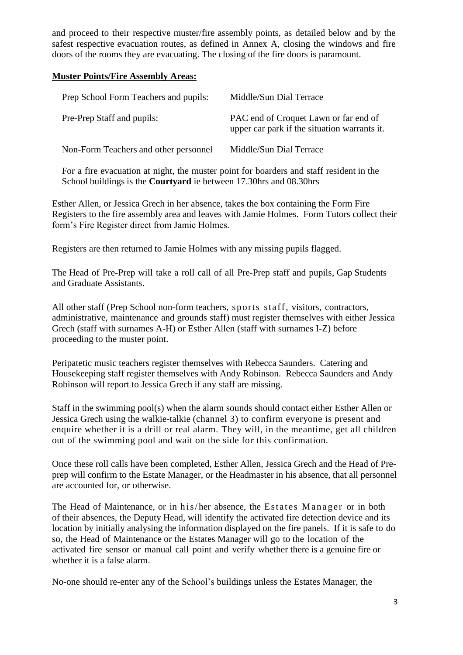and proceed to their respective muster/fire assembly points, as detailed below and by the safest respective evacuation routes, as defined in Annex A, closing the windows and fire doors of the rooms they are evacuating. The closing of the fire doors is paramount.

#### **Muster Points/Fire Assembly Areas:**

| Prep School Form Teachers and pupils: | Middle/Sun Dial Terrace                                                               |
|---------------------------------------|---------------------------------------------------------------------------------------|
| Pre-Prep Staff and pupils:            | PAC end of Croquet Lawn or far end of<br>upper car park if the situation warrants it. |
| Non-Form Teachers and other personnel | Middle/Sun Dial Terrace                                                               |

For a fire evacuation at night, the muster point for boarders and staff resident in the School buildings is the **Courtyard** ie between 17.30hrs and 08.30hrs

Esther Allen, or Jessica Grech in her absence, takes the box containing the Form Fire Registers to the fire assembly area and leaves with Jamie Holmes. Form Tutors collect their form's Fire Register direct from Jamie Holmes.

Registers are then returned to Jamie Holmes with any missing pupils flagged.

The Head of Pre-Prep will take a roll call of all Pre-Prep staff and pupils, Gap Students and Graduate Assistants.

All other staff (Prep School non-form teachers, sports staff, visitors, contractors, administrative, maintenance and grounds staff) must register themselves with either Jessica Grech (staff with surnames A-H) or Esther Allen (staff with surnames I-Z) before proceeding to the muster point.

Peripatetic music teachers register themselves with Rebecca Saunders. Catering and Housekeeping staff register themselves with Andy Robinson. Rebecca Saunders and Andy Robinson will report to Jessica Grech if any staff are missing.

Staff in the swimming pool(s) when the alarm sounds should contact either Esther Allen or Jessica Grech using the walkie-talkie (channel 3) to confirm everyone is present and enquire whether it is a drill or real alarm. They will, in the meantime, get all children out of the swimming pool and wait on the side for this confirmation.

Once these roll calls have been completed, Esther Allen, Jessica Grech and the Head of Preprep will confirm to the Estate Manager, or the Headmaster in his absence, that all personnel are accounted for, or otherwise.

The Head of Maintenance, or in his/her absence, the Estates Manager or in both of their absences, the Deputy Head, will identify the activated fire detection device and its location by initially analysing the information displayed on the fire panels. If it is safe to do so, the Head of Maintenance or the Estates Manager will go to the location of the activated fire sensor or manual call point and verify whether there is a genuine fire or whether it is a false alarm.

No-one should re-enter any of the School's buildings unless the Estates Manager, the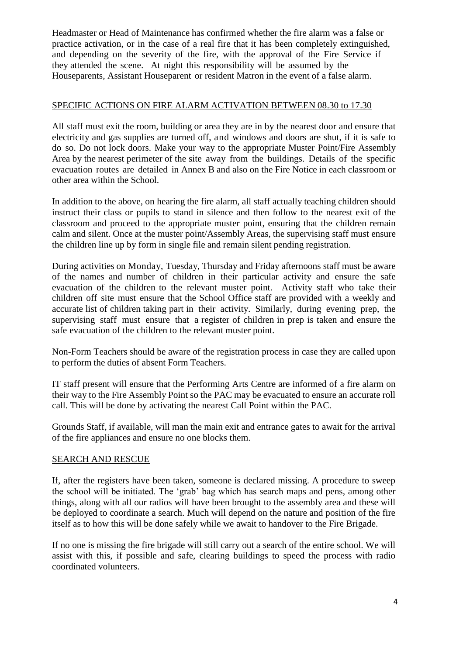Headmaster or Head of Maintenance has confirmed whether the fire alarm was a false or practice activation, or in the case of a real fire that it has been completely extinguished, and depending on the severity of the fire, with the approval of the Fire Service if they attended the scene. At night this responsibility will be assumed by the Houseparents, Assistant Houseparent or resident Matron in the event of a false alarm.

## SPECIFIC ACTIONS ON FIRE ALARM ACTIVATION BETWEEN 08.30 to 17.30

All staff must exit the room, building or area they are in by the nearest door and ensure that electricity and gas supplies are turned off, and windows and doors are shut, if it is safe to do so. Do not lock doors. Make your way to the appropriate Muster Point/Fire Assembly Area by the nearest perimeter of the site away from the buildings. Details of the specific evacuation routes are detailed in Annex B and also on the Fire Notice in each classroom or other area within the School.

In addition to the above, on hearing the fire alarm, all staff actually teaching children should instruct their class or pupils to stand in silence and then follow to the nearest exit of the classroom and proceed to the appropriate muster point, ensuring that the children remain calm and silent. Once at the muster point/Assembly Areas, the supervising staff must ensure the children line up by form in single file and remain silent pending registration.

During activities on Monday, Tuesday, Thursday and Friday afternoons staff must be aware of the names and number of children in their particular activity and ensure the safe evacuation of the children to the relevant muster point. Activity staff who take their children off site must ensure that the School Office staff are provided with a weekly and accurate list of children taking part in their activity. Similarly, during evening prep, the supervising staff must ensure that a register of children in prep is taken and ensure the safe evacuation of the children to the relevant muster point.

Non-Form Teachers should be aware of the registration process in case they are called upon to perform the duties of absent Form Teachers.

IT staff present will ensure that the Performing Arts Centre are informed of a fire alarm on their way to the Fire Assembly Point so the PAC may be evacuated to ensure an accurate roll call. This will be done by activating the nearest Call Point within the PAC.

Grounds Staff, if available, will man the main exit and entrance gates to await for the arrival of the fire appliances and ensure no one blocks them.

#### SEARCH AND RESCUE

If, after the registers have been taken, someone is declared missing. A procedure to sweep the school will be initiated. The 'grab' bag which has search maps and pens, among other things, along with all our radios will have been brought to the assembly area and these will be deployed to coordinate a search. Much will depend on the nature and position of the fire itself as to how this will be done safely while we await to handover to the Fire Brigade.

If no one is missing the fire brigade will still carry out a search of the entire school. We will assist with this, if possible and safe, clearing buildings to speed the process with radio coordinated volunteers.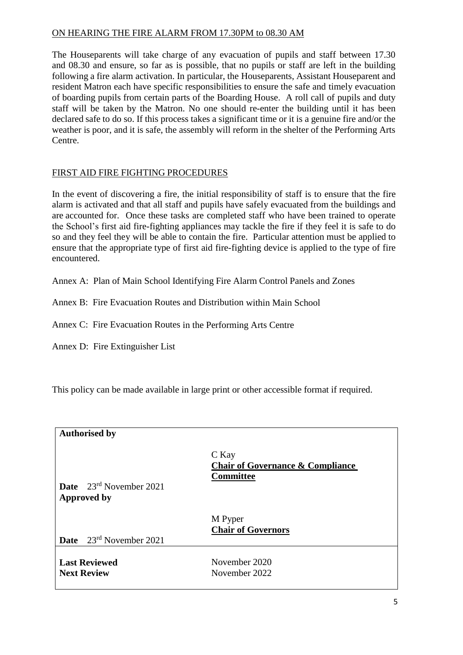## ON HEARING THE FIRE ALARM FROM 17.30PM to 08.30 AM

The Houseparents will take charge of any evacuation of pupils and staff between 17.30 and 08.30 and ensure, so far as is possible, that no pupils or staff are left in the building following a fire alarm activation. In particular, the Houseparents, Assistant Houseparent and resident Matron each have specific responsibilities to ensure the safe and timely evacuation of boarding pupils from certain parts of the Boarding House. A roll call of pupils and duty staff will be taken by the Matron. No one should re-enter the building until it has been declared safe to do so. If this process takes a significant time or it is a genuine fire and/or the weather is poor, and it is safe, the assembly will reform in the shelter of the Performing Arts Centre.

## FIRST AID FIRE FIGHTING PROCEDURES

In the event of discovering a fire, the initial responsibility of staff is to ensure that the fire alarm is activated and that all staff and pupils have safely evacuated from the buildings and are accounted for. Once these tasks are completed staff who have been trained to operate the School's first aid fire-fighting appliances may tackle the fire if they feel it is safe to do so and they feel they will be able to contain the fire. Particular attention must be applied to ensure that the appropriate type of first aid fire-fighting device is applied to the type of fire encountered.

Annex A: Plan of Main School Identifying Fire Alarm Control Panels and Zones

Annex B: Fire Evacuation Routes and Distribution within Main School

Annex C: Fire Evacuation Routes in the Performing Arts Centre

Annex D: Fire Extinguisher List

This policy can be made available in large print or other accessible format if required.

| <b>Authorised by</b>                                      |                                                                          |
|-----------------------------------------------------------|--------------------------------------------------------------------------|
| <b>Date</b> $23^{rd}$ November 2021<br><b>Approved by</b> | C Kay<br><b>Chair of Governance &amp; Compliance</b><br><b>Committee</b> |
|                                                           | M Pyper<br><b>Chair of Governors</b>                                     |
| <b>Date</b> $23^{rd}$ November 2021                       |                                                                          |
| <b>Last Reviewed</b><br><b>Next Review</b>                | November 2020<br>November 2022                                           |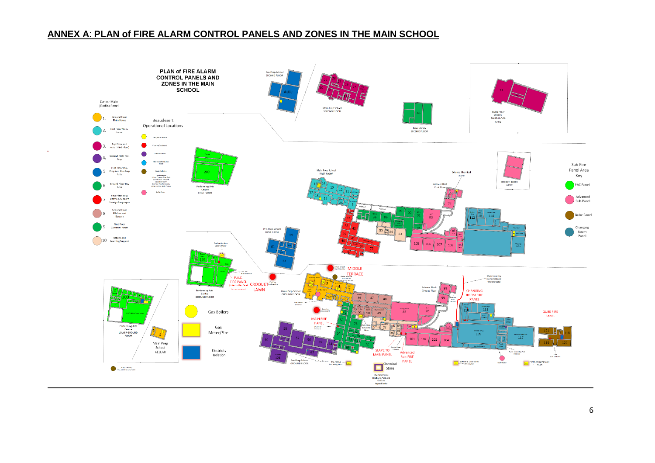## **ANNEX A**: **PLAN of FIRE ALARM CONTROL PANELS AND ZONES IN THE MAIN SCHOOL**

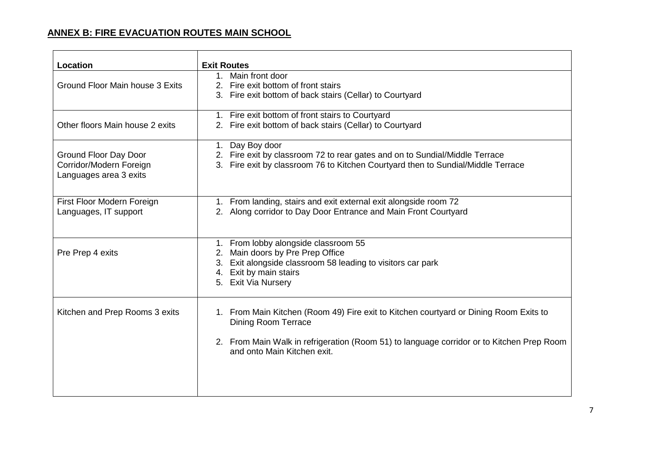# **ANNEX B: FIRE EVACUATION ROUTES MAIN SCHOOL**

| <b>Location</b>                                                            | <b>Exit Routes</b>                                                                                                                                                                                                                              |
|----------------------------------------------------------------------------|-------------------------------------------------------------------------------------------------------------------------------------------------------------------------------------------------------------------------------------------------|
| Ground Floor Main house 3 Exits                                            | 1. Main front door<br>2. Fire exit bottom of front stairs<br>Fire exit bottom of back stairs (Cellar) to Courtyard<br>3.                                                                                                                        |
| Other floors Main house 2 exits                                            | 1. Fire exit bottom of front stairs to Courtyard<br>2. Fire exit bottom of back stairs (Cellar) to Courtyard                                                                                                                                    |
| Ground Floor Day Door<br>Corridor/Modern Foreign<br>Languages area 3 exits | Day Boy door<br>1.<br>2. Fire exit by classroom 72 to rear gates and on to Sundial/Middle Terrace<br>3. Fire exit by classroom 76 to Kitchen Courtyard then to Sundial/Middle Terrace                                                           |
| First Floor Modern Foreign<br>Languages, IT support                        | 1. From landing, stairs and exit external exit alongside room 72<br>2. Along corridor to Day Door Entrance and Main Front Courtyard                                                                                                             |
| Pre Prep 4 exits                                                           | 1. From lobby alongside classroom 55<br>Main doors by Pre Prep Office<br>2.<br>3. Exit alongside classroom 58 leading to visitors car park<br>4. Exit by main stairs<br>5. Exit Via Nursery                                                     |
| Kitchen and Prep Rooms 3 exits                                             | 1. From Main Kitchen (Room 49) Fire exit to Kitchen courtyard or Dining Room Exits to<br><b>Dining Room Terrace</b><br>2. From Main Walk in refrigeration (Room 51) to language corridor or to Kitchen Prep Room<br>and onto Main Kitchen exit. |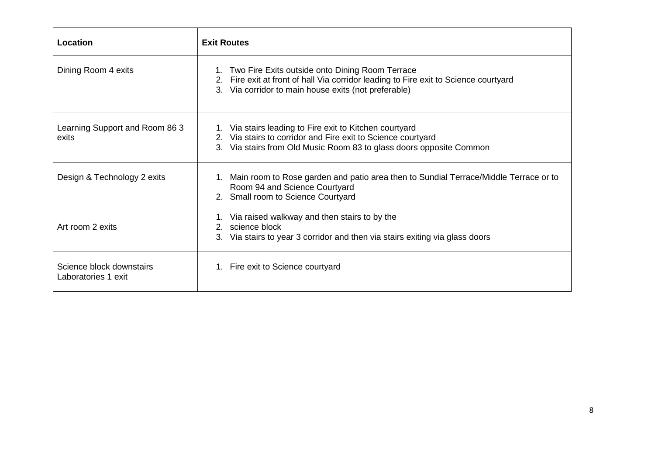| Location                                        | <b>Exit Routes</b>                                                                                                                                                                                 |
|-------------------------------------------------|----------------------------------------------------------------------------------------------------------------------------------------------------------------------------------------------------|
| Dining Room 4 exits                             | 1. Two Fire Exits outside onto Dining Room Terrace<br>2. Fire exit at front of hall Via corridor leading to Fire exit to Science courtyard<br>3. Via corridor to main house exits (not preferable) |
| Learning Support and Room 86 3<br>exits         | 1. Via stairs leading to Fire exit to Kitchen courtyard<br>2. Via stairs to corridor and Fire exit to Science courtyard<br>Via stairs from Old Music Room 83 to glass doors opposite Common        |
| Design & Technology 2 exits                     | 1. Main room to Rose garden and patio area then to Sundial Terrace/Middle Terrace or to<br>Room 94 and Science Courtyard<br>2. Small room to Science Courtyard                                     |
| Art room 2 exits                                | 1. Via raised walkway and then stairs to by the<br>science block<br>$2^{2}$<br>Via stairs to year 3 corridor and then via stairs exiting via glass doors<br>З.                                     |
| Science block downstairs<br>Laboratories 1 exit | 1. Fire exit to Science courtyard                                                                                                                                                                  |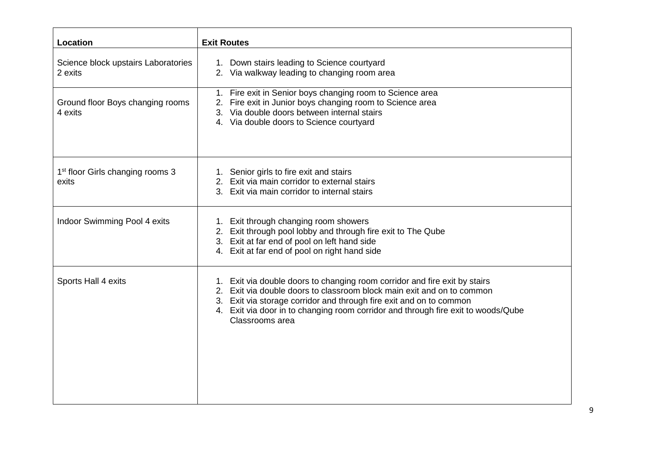| Location                                              | <b>Exit Routes</b>                                                                                                                                                                                                                                                                                                                  |  |
|-------------------------------------------------------|-------------------------------------------------------------------------------------------------------------------------------------------------------------------------------------------------------------------------------------------------------------------------------------------------------------------------------------|--|
| Science block upstairs Laboratories<br>2 exits        | Down stairs leading to Science courtyard<br>1.<br>2. Via walkway leading to changing room area                                                                                                                                                                                                                                      |  |
| Ground floor Boys changing rooms<br>4 exits           | 1. Fire exit in Senior boys changing room to Science area<br>2. Fire exit in Junior boys changing room to Science area<br>3. Via double doors between internal stairs<br>4. Via double doors to Science courtyard                                                                                                                   |  |
| 1 <sup>st</sup> floor Girls changing rooms 3<br>exits | 1. Senior girls to fire exit and stairs<br>2. Exit via main corridor to external stairs<br>Exit via main corridor to internal stairs<br>3.                                                                                                                                                                                          |  |
| Indoor Swimming Pool 4 exits                          | 1. Exit through changing room showers<br>2. Exit through pool lobby and through fire exit to The Qube<br>3. Exit at far end of pool on left hand side<br>4. Exit at far end of pool on right hand side                                                                                                                              |  |
| Sports Hall 4 exits                                   | 1. Exit via double doors to changing room corridor and fire exit by stairs<br>2. Exit via double doors to classroom block main exit and on to common<br>3. Exit via storage corridor and through fire exit and on to common<br>4. Exit via door in to changing room corridor and through fire exit to woods/Qube<br>Classrooms area |  |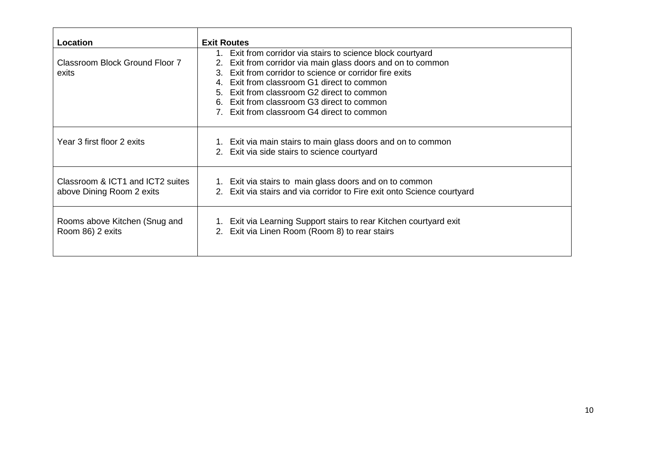| Location                                                                 | <b>Exit Routes</b>                                                                                                                    |
|--------------------------------------------------------------------------|---------------------------------------------------------------------------------------------------------------------------------------|
|                                                                          | Exit from corridor via stairs to science block courtyard<br>1.                                                                        |
| Classroom Block Ground Floor 7                                           | Exit from corridor via main glass doors and on to common<br>2.                                                                        |
| Exit from corridor to science or corridor fire exits<br>$3_{-}$<br>exits |                                                                                                                                       |
|                                                                          | Exit from classroom G1 direct to common<br>4                                                                                          |
|                                                                          | Exit from classroom G2 direct to common<br>5.                                                                                         |
|                                                                          | Exit from classroom G3 direct to common<br>6.                                                                                         |
|                                                                          | Exit from classroom G4 direct to common                                                                                               |
| Year 3 first floor 2 exits                                               | 1. Exit via main stairs to main glass doors and on to common<br>Exit via side stairs to science courtyard<br>2.                       |
| Classroom & ICT1 and ICT2 suites<br>above Dining Room 2 exits            | 1. Exit via stairs to main glass doors and on to common<br>Exit via stairs and via corridor to Fire exit onto Science courtyard<br>2. |
| Rooms above Kitchen (Snug and<br>Room 86) 2 exits                        | Exit via Learning Support stairs to rear Kitchen courtyard exit<br>1.<br>Exit via Linen Room (Room 8) to rear stairs<br>2.            |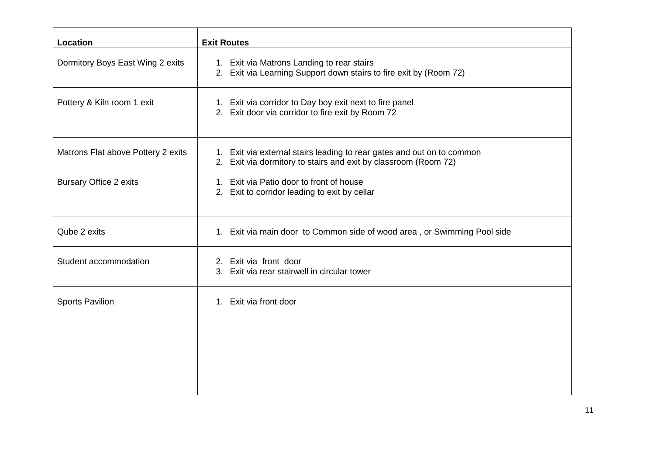| Location                           | <b>Exit Routes</b>                                                                                                                        |
|------------------------------------|-------------------------------------------------------------------------------------------------------------------------------------------|
| Dormitory Boys East Wing 2 exits   | 1. Exit via Matrons Landing to rear stairs<br>2. Exit via Learning Support down stairs to fire exit by (Room 72)                          |
| Pottery & Kiln room 1 exit         | 1. Exit via corridor to Day boy exit next to fire panel<br>2. Exit door via corridor to fire exit by Room 72                              |
| Matrons Flat above Pottery 2 exits | 1. Exit via external stairs leading to rear gates and out on to common<br>2. Exit via dormitory to stairs and exit by classroom (Room 72) |
| <b>Bursary Office 2 exits</b>      | 1. Exit via Patio door to front of house<br>2. Exit to corridor leading to exit by cellar                                                 |
| Qube 2 exits                       | 1. Exit via main door to Common side of wood area, or Swimming Pool side                                                                  |
| Student accommodation              | 2. Exit via front door<br>Exit via rear stairwell in circular tower<br>3.                                                                 |
| <b>Sports Pavilion</b>             | 1. Exit via front door                                                                                                                    |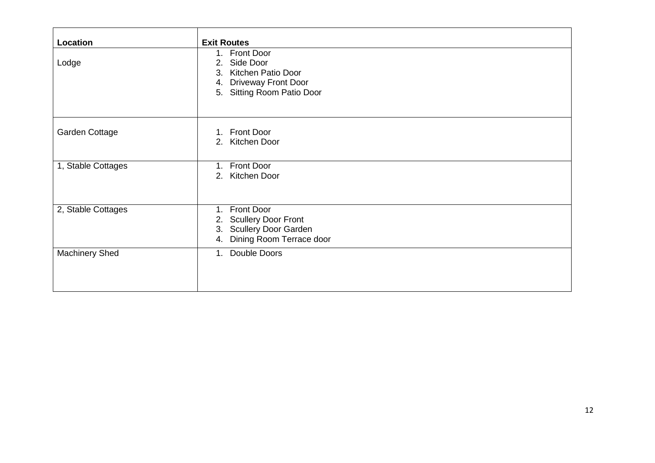| Location              | <b>Exit Routes</b>                                                                                                          |
|-----------------------|-----------------------------------------------------------------------------------------------------------------------------|
| Lodge                 | 1. Front Door<br>Side Door<br>2.<br>3. Kitchen Patio Door<br><b>Driveway Front Door</b><br>4.<br>5. Sitting Room Patio Door |
| Garden Cottage        | 1. Front Door<br>2. Kitchen Door                                                                                            |
| 1, Stable Cottages    | <b>Front Door</b><br>$1_{\cdot}$<br>2. Kitchen Door                                                                         |
| 2, Stable Cottages    | 1. Front Door<br><b>Scullery Door Front</b><br>2.<br><b>Scullery Door Garden</b><br>3.<br>Dining Room Terrace door<br>4.    |
| <b>Machinery Shed</b> | Double Doors<br>1.                                                                                                          |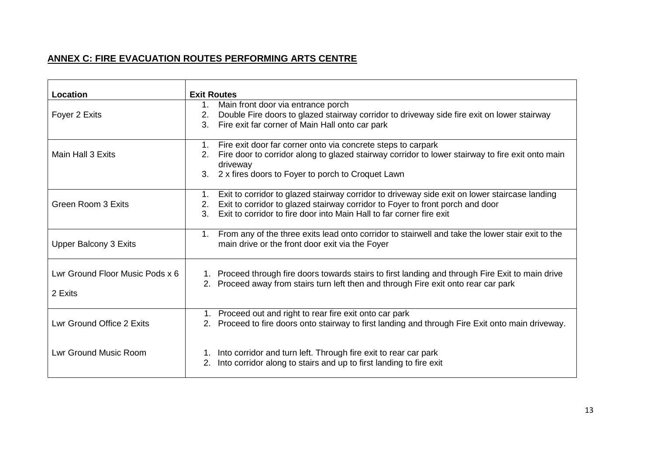# **ANNEX C: FIRE EVACUATION ROUTES PERFORMING ARTS CENTRE**

| Location                        | <b>Exit Routes</b>                                                                                                                                                                       |  |  |
|---------------------------------|------------------------------------------------------------------------------------------------------------------------------------------------------------------------------------------|--|--|
|                                 |                                                                                                                                                                                          |  |  |
|                                 | Main front door via entrance porch<br>1.                                                                                                                                                 |  |  |
| Foyer 2 Exits                   | Double Fire doors to glazed stairway corridor to driveway side fire exit on lower stairway<br>2.                                                                                         |  |  |
|                                 | Fire exit far corner of Main Hall onto car park<br>3.                                                                                                                                    |  |  |
|                                 | Fire exit door far corner onto via concrete steps to carpark<br>1.                                                                                                                       |  |  |
| Main Hall 3 Exits               | Fire door to corridor along to glazed stairway corridor to lower stairway to fire exit onto main<br>2.<br>driveway                                                                       |  |  |
|                                 | 2 x fires doors to Foyer to porch to Croquet Lawn<br>3.                                                                                                                                  |  |  |
|                                 | Exit to corridor to glazed stairway corridor to driveway side exit on lower staircase landing<br>1.                                                                                      |  |  |
| <b>Green Room 3 Exits</b>       | Exit to corridor to glazed stairway corridor to Foyer to front porch and door<br>2.                                                                                                      |  |  |
|                                 | $\overline{3}$ .<br>Exit to corridor to fire door into Main Hall to far corner fire exit                                                                                                 |  |  |
|                                 | From any of the three exits lead onto corridor to stairwell and take the lower stair exit to the<br>$1_{\cdot}$                                                                          |  |  |
| <b>Upper Balcony 3 Exits</b>    | main drive or the front door exit via the Foyer                                                                                                                                          |  |  |
| Lwr Ground Floor Music Pods x 6 |                                                                                                                                                                                          |  |  |
|                                 | 1. Proceed through fire doors towards stairs to first landing and through Fire Exit to main drive<br>2. Proceed away from stairs turn left then and through Fire exit onto rear car park |  |  |
| 2 Exits                         |                                                                                                                                                                                          |  |  |
|                                 |                                                                                                                                                                                          |  |  |
|                                 | 1. Proceed out and right to rear fire exit onto car park                                                                                                                                 |  |  |
| Lwr Ground Office 2 Exits       | 2. Proceed to fire doors onto stairway to first landing and through Fire Exit onto main driveway.                                                                                        |  |  |
|                                 |                                                                                                                                                                                          |  |  |
| <b>Lwr Ground Music Room</b>    | 1. Into corridor and turn left. Through fire exit to rear car park                                                                                                                       |  |  |
|                                 | Into corridor along to stairs and up to first landing to fire exit                                                                                                                       |  |  |
|                                 |                                                                                                                                                                                          |  |  |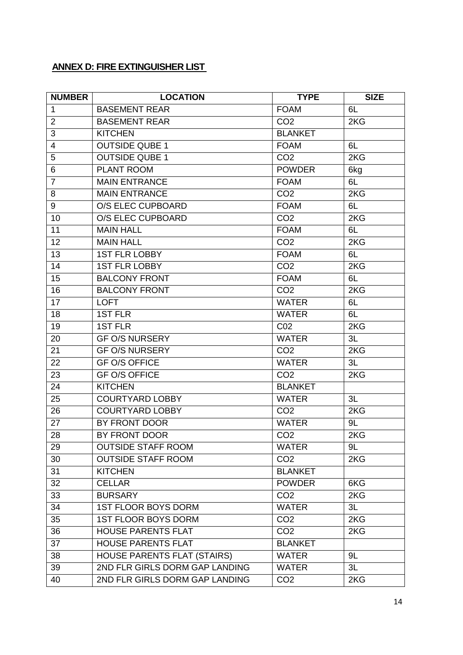# **ANNEX D: FIRE EXTINGUISHER LIST**

| <b>NUMBER</b>  | <b>LOCATION</b>                    | <b>TYPE</b>     | <b>SIZE</b> |
|----------------|------------------------------------|-----------------|-------------|
| $\mathbf{1}$   | <b>BASEMENT REAR</b>               | <b>FOAM</b>     | 6L          |
| $\overline{2}$ | <b>BASEMENT REAR</b>               | CO <sub>2</sub> | 2KG         |
| 3              | <b>KITCHEN</b>                     | <b>BLANKET</b>  |             |
| $\overline{4}$ | <b>OUTSIDE QUBE 1</b>              | <b>FOAM</b>     | 6L          |
| 5              | <b>OUTSIDE QUBE 1</b>              | CO <sub>2</sub> | 2KG         |
| 6              | PLANT ROOM                         | <b>POWDER</b>   | 6kg         |
| $\overline{7}$ | <b>MAIN ENTRANCE</b>               | <b>FOAM</b>     | 6L          |
| 8              | <b>MAIN ENTRANCE</b>               | CO <sub>2</sub> | 2KG         |
| $\overline{9}$ | <b>O/S ELEC CUPBOARD</b>           | <b>FOAM</b>     | 6L          |
| 10             | <b>O/S ELEC CUPBOARD</b>           | CO <sub>2</sub> | 2KG         |
| 11             | <b>MAIN HALL</b>                   | <b>FOAM</b>     | 6L          |
| 12             | <b>MAIN HALL</b>                   | CO <sub>2</sub> | 2KG         |
| 13             | <b>1ST FLR LOBBY</b>               | <b>FOAM</b>     | 6L          |
| 14             | <b>1ST FLR LOBBY</b>               | CO <sub>2</sub> | 2KG         |
| 15             | <b>BALCONY FRONT</b>               | <b>FOAM</b>     | 6L          |
| 16             | <b>BALCONY FRONT</b>               | CO <sub>2</sub> | 2KG         |
| 17             | <b>LOFT</b>                        | <b>WATER</b>    | 6L          |
| 18             | <b>1ST FLR</b>                     | <b>WATER</b>    | 6L          |
| 19             | <b>1ST FLR</b>                     | CO <sub>2</sub> | 2KG         |
| 20             | <b>GF O/S NURSERY</b>              | <b>WATER</b>    | 3L          |
| 21             | <b>GF O/S NURSERY</b>              | CO <sub>2</sub> | 2KG         |
| 22             | <b>GF O/S OFFICE</b>               | <b>WATER</b>    | 3L          |
| 23             | <b>GF O/S OFFICE</b>               | CO <sub>2</sub> | 2KG         |
| 24             | <b>KITCHEN</b>                     | <b>BLANKET</b>  |             |
| 25             | <b>COURTYARD LOBBY</b>             | <b>WATER</b>    | 3L          |
| 26             | <b>COURTYARD LOBBY</b>             | CO <sub>2</sub> | 2KG         |
| 27             | BY FRONT DOOR                      | <b>WATER</b>    | 9L          |
| 28             | BY FRONT DOOR                      | CO <sub>2</sub> | 2KG         |
| 29             | <b>OUTSIDE STAFF ROOM</b>          | <b>WATER</b>    | 9L          |
| 30             | <b>OUTSIDE STAFF ROOM</b>          | CO <sub>2</sub> | 2KG         |
| 31             | <b>KITCHEN</b>                     | <b>BLANKET</b>  |             |
| 32             | <b>CELLAR</b>                      | <b>POWDER</b>   | 6KG         |
| 33             | <b>BURSARY</b>                     | CO <sub>2</sub> | 2KG         |
| 34             | <b>1ST FLOOR BOYS DORM</b>         | <b>WATER</b>    | 3L          |
| 35             | <b>1ST FLOOR BOYS DORM</b>         | CO <sub>2</sub> | 2KG         |
| 36             | <b>HOUSE PARENTS FLAT</b>          | CO <sub>2</sub> | 2KG         |
| 37             | <b>HOUSE PARENTS FLAT</b>          | <b>BLANKET</b>  |             |
| 38             | <b>HOUSE PARENTS FLAT (STAIRS)</b> | <b>WATER</b>    | 9L          |
| 39             | 2ND FLR GIRLS DORM GAP LANDING     | <b>WATER</b>    | 3L          |
| 40             | 2ND FLR GIRLS DORM GAP LANDING     | CO <sub>2</sub> | 2KG         |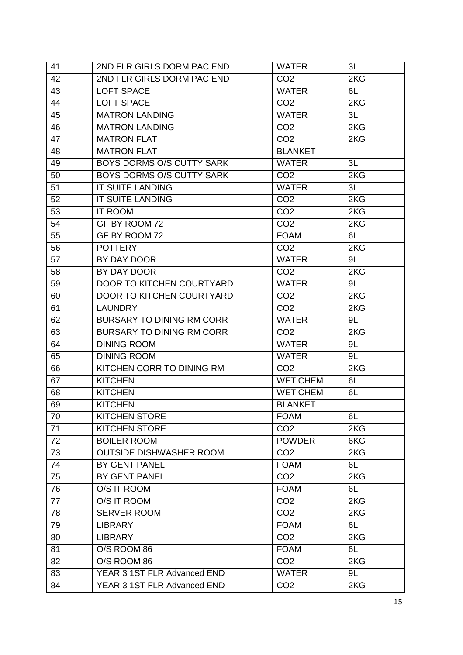| 41 | 2ND FLR GIRLS DORM PAC END       | <b>WATER</b>    | 3L  |
|----|----------------------------------|-----------------|-----|
| 42 | 2ND FLR GIRLS DORM PAC END       | CO <sub>2</sub> | 2KG |
| 43 | <b>LOFT SPACE</b>                | <b>WATER</b>    | 6L  |
| 44 | <b>LOFT SPACE</b>                | CO <sub>2</sub> | 2KG |
| 45 | <b>MATRON LANDING</b>            | <b>WATER</b>    | 3L  |
| 46 | <b>MATRON LANDING</b>            | CO <sub>2</sub> | 2KG |
| 47 | <b>MATRON FLAT</b>               | CO <sub>2</sub> | 2KG |
| 48 | <b>MATRON FLAT</b>               | <b>BLANKET</b>  |     |
| 49 | BOYS DORMS O/S CUTTY SARK        | <b>WATER</b>    | 3L  |
| 50 | <b>BOYS DORMS O/S CUTTY SARK</b> | CO <sub>2</sub> | 2KG |
| 51 | <b>IT SUITE LANDING</b>          | <b>WATER</b>    | 3L  |
| 52 | IT SUITE LANDING                 | CO <sub>2</sub> | 2KG |
| 53 | <b>IT ROOM</b>                   | CO <sub>2</sub> | 2KG |
| 54 | GF BY ROOM 72                    | CO <sub>2</sub> | 2KG |
| 55 | GF BY ROOM 72                    | <b>FOAM</b>     | 6L  |
| 56 | <b>POTTERY</b>                   | CO <sub>2</sub> | 2KG |
| 57 | BY DAY DOOR                      | <b>WATER</b>    | 9L  |
| 58 | BY DAY DOOR                      | CO <sub>2</sub> | 2KG |
| 59 | DOOR TO KITCHEN COURTYARD        | <b>WATER</b>    | 9L  |
| 60 | <b>DOOR TO KITCHEN COURTYARD</b> | CO <sub>2</sub> | 2KG |
| 61 | <b>LAUNDRY</b>                   | CO <sub>2</sub> | 2KG |
| 62 | <b>BURSARY TO DINING RM CORR</b> | <b>WATER</b>    | 9L  |
| 63 | <b>BURSARY TO DINING RM CORR</b> | CO <sub>2</sub> | 2KG |
| 64 | <b>DINING ROOM</b>               | <b>WATER</b>    | 9L  |
| 65 | <b>DINING ROOM</b>               | <b>WATER</b>    | 9L  |
| 66 | KITCHEN CORR TO DINING RM        | CO <sub>2</sub> | 2KG |
| 67 | <b>KITCHEN</b>                   | <b>WET CHEM</b> | 6L  |
| 68 | <b>KITCHEN</b>                   | <b>WET CHEM</b> | 6L  |
| 69 | <b>KITCHEN</b>                   | <b>BLANKET</b>  |     |
| 70 | <b>KITCHEN STORE</b>             | <b>FOAM</b>     | 6L  |
| 71 | <b>KITCHEN STORE</b>             | CO <sub>2</sub> | 2KG |
| 72 | <b>BOILER ROOM</b>               | <b>POWDER</b>   | 6KG |
| 73 | <b>OUTSIDE DISHWASHER ROOM</b>   | CO <sub>2</sub> | 2KG |
| 74 | BY GENT PANEL                    | <b>FOAM</b>     | 6L  |
| 75 | BY GENT PANEL                    | CO <sub>2</sub> | 2KG |
| 76 | O/S IT ROOM                      | <b>FOAM</b>     | 6L  |
| 77 | O/S IT ROOM                      | CO <sub>2</sub> | 2KG |
| 78 | <b>SERVER ROOM</b>               | CO <sub>2</sub> | 2KG |
| 79 | <b>LIBRARY</b>                   | <b>FOAM</b>     | 6L  |
| 80 | <b>LIBRARY</b>                   | CO <sub>2</sub> | 2KG |
| 81 | O/S ROOM 86                      | <b>FOAM</b>     | 6L  |
| 82 | O/S ROOM 86                      | CO <sub>2</sub> | 2KG |
| 83 | YEAR 3 1ST FLR Advanced END      | <b>WATER</b>    | 9L  |
| 84 | YEAR 3 1ST FLR Advanced END      | CO <sub>2</sub> | 2KG |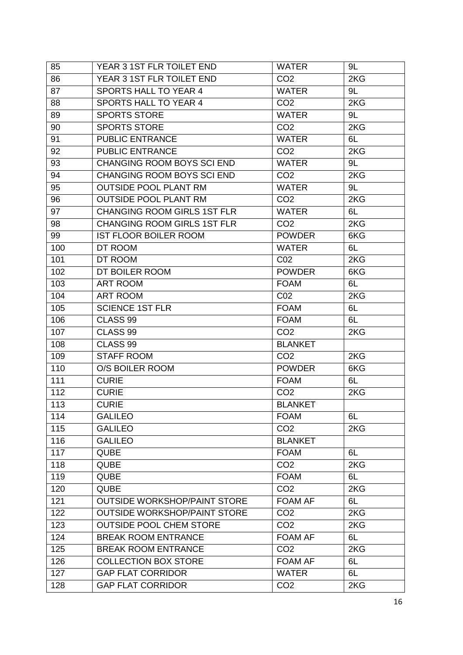| 85  | YEAR 3 1ST FLR TOILET END           | <b>WATER</b>    | 9L  |
|-----|-------------------------------------|-----------------|-----|
| 86  | YEAR 3 1ST FLR TOILET END           | CO <sub>2</sub> | 2KG |
| 87  | <b>SPORTS HALL TO YEAR 4</b>        | <b>WATER</b>    | 9L  |
| 88  | <b>SPORTS HALL TO YEAR 4</b>        | CO <sub>2</sub> | 2KG |
| 89  | <b>SPORTS STORE</b>                 | <b>WATER</b>    | 9L  |
| 90  | <b>SPORTS STORE</b>                 | CO <sub>2</sub> | 2KG |
| 91  | <b>PUBLIC ENTRANCE</b>              | <b>WATER</b>    | 6L  |
| 92  | <b>PUBLIC ENTRANCE</b>              | CO <sub>2</sub> | 2KG |
| 93  | <b>CHANGING ROOM BOYS SCI END</b>   | <b>WATER</b>    | 9L  |
| 94  | <b>CHANGING ROOM BOYS SCI END</b>   | CO <sub>2</sub> | 2KG |
| 95  | <b>OUTSIDE POOL PLANT RM</b>        | <b>WATER</b>    | 9L  |
| 96  | <b>OUTSIDE POOL PLANT RM</b>        | CO <sub>2</sub> | 2KG |
| 97  | <b>CHANGING ROOM GIRLS 1ST FLR</b>  | <b>WATER</b>    | 6L  |
| 98  | <b>CHANGING ROOM GIRLS 1ST FLR</b>  | CO <sub>2</sub> | 2KG |
| 99  | <b>IST FLOOR BOILER ROOM</b>        | <b>POWDER</b>   | 6KG |
| 100 | DT ROOM                             | <b>WATER</b>    | 6L  |
| 101 | DT ROOM                             | CO <sub>2</sub> | 2KG |
| 102 | DT BOILER ROOM                      | <b>POWDER</b>   | 6KG |
| 103 | <b>ART ROOM</b>                     | <b>FOAM</b>     | 6L  |
| 104 | <b>ART ROOM</b>                     | CO <sub>2</sub> | 2KG |
| 105 | <b>SCIENCE 1ST FLR</b>              | <b>FOAM</b>     | 6L  |
| 106 | CLASS <sub>99</sub>                 | <b>FOAM</b>     | 6L  |
| 107 | CLASS <sub>99</sub>                 | CO <sub>2</sub> | 2KG |
| 108 | CLASS <sub>99</sub>                 | <b>BLANKET</b>  |     |
| 109 | <b>STAFF ROOM</b>                   | CO <sub>2</sub> | 2KG |
| 110 | O/S BOILER ROOM                     | <b>POWDER</b>   | 6KG |
| 111 | <b>CURIE</b>                        | <b>FOAM</b>     | 6L  |
| 112 | <b>CURIE</b>                        | CO <sub>2</sub> | 2KG |
| 113 | <b>CURIE</b>                        | <b>BLANKET</b>  |     |
| 114 | <b>GALILEO</b>                      | <b>FOAM</b>     | 6L  |
| 115 | <b>GALILEO</b>                      | CO <sub>2</sub> | 2KG |
| 116 | <b>GALILEO</b>                      | <b>BLANKET</b>  |     |
| 117 | <b>QUBE</b>                         | <b>FOAM</b>     | 6L  |
| 118 | <b>QUBE</b>                         | CO <sub>2</sub> | 2KG |
| 119 | <b>QUBE</b>                         | <b>FOAM</b>     | 6L  |
| 120 | <b>QUBE</b>                         | CO <sub>2</sub> | 2KG |
| 121 | <b>OUTSIDE WORKSHOP/PAINT STORE</b> | <b>FOAM AF</b>  | 6L  |
| 122 | <b>OUTSIDE WORKSHOP/PAINT STORE</b> | CO <sub>2</sub> | 2KG |
| 123 | <b>OUTSIDE POOL CHEM STORE</b>      | CO <sub>2</sub> | 2KG |
| 124 | <b>BREAK ROOM ENTRANCE</b>          | <b>FOAM AF</b>  | 6L  |
| 125 | <b>BREAK ROOM ENTRANCE</b>          | CO <sub>2</sub> | 2KG |
| 126 | <b>COLLECTION BOX STORE</b>         | <b>FOAM AF</b>  | 6L  |
| 127 | <b>GAP FLAT CORRIDOR</b>            | <b>WATER</b>    | 6L  |
| 128 | <b>GAP FLAT CORRIDOR</b>            | CO <sub>2</sub> | 2KG |
|     |                                     |                 |     |